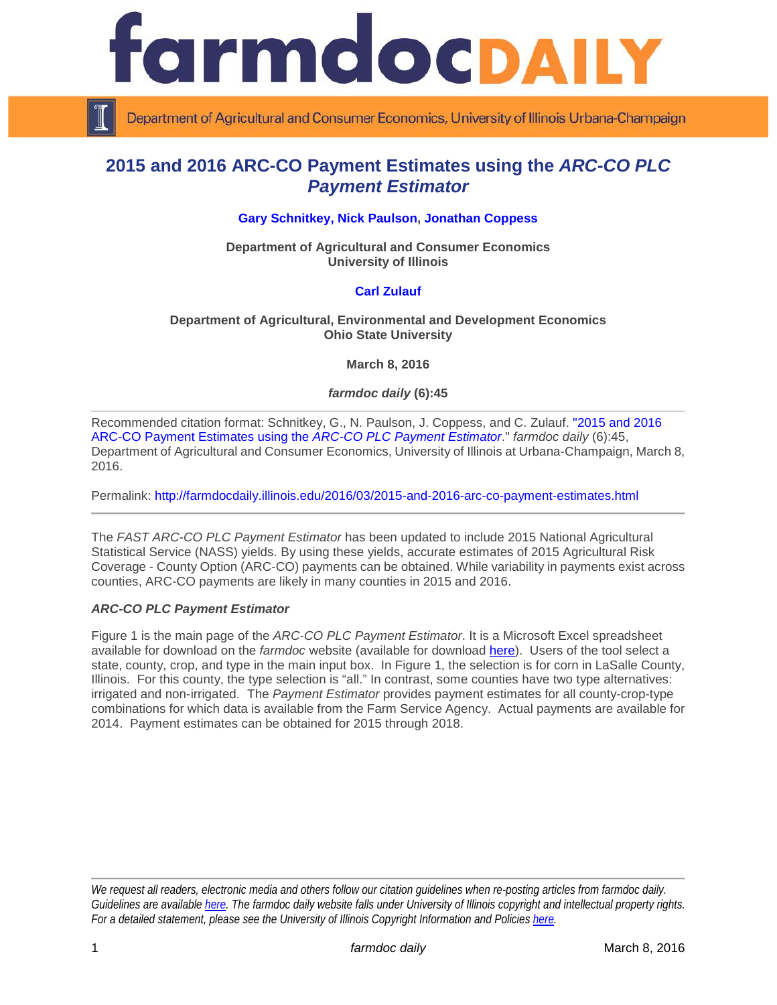

Department of Agricultural and Consumer Economics, University of Illinois Urbana-Champaign

# **2015 and 2016 ARC-CO Payment Estimates using the** *ARC-CO PLC Payment Estimator*

## **[Gary Schnitkey,](http://farmdoc.illinois.edu/schnitkey) [Nick Paulson,](http://farmdoc.illinois.edu/paulson) [Jonathan Coppess](http://farmdoc.illinois.edu/coppess)**

**Department of Agricultural and Consumer Economics University of Illinois**

## **[Carl Zulauf](http://aede.osu.edu/our-people/carl-zulauf)**

## **Department of Agricultural, Environmental and Development Economics Ohio State University**

**March 8, 2016**

## *farmdoc daily* **(6):45**

Recommended citation format: Schnitkey, G., N. Paulson, J. Coppess, and C. Zulauf. ["2015 and 2016](http://farmdocdaily.illinois.edu/2016/03/2015-and-2016-arc-co-payment-estimates.html)  [ARC-CO Payment Estimates using the](http://farmdocdaily.illinois.edu/2016/03/2015-and-2016-arc-co-payment-estimates.html) *ARC-CO PLC Payment Estimator*." *farmdoc daily* (6):45, Department of Agricultural and Consumer Economics, University of Illinois at Urbana-Champaign, March 8, 2016.

Permalink: <http://farmdocdaily.illinois.edu/2016/03/2015-and-2016-arc-co-payment-estimates.html>

The *FAST ARC-CO PLC Payment Estimator* has been updated to include 2015 National Agricultural Statistical Service (NASS) yields. By using these yields, accurate estimates of 2015 Agricultural Risk Coverage - County Option (ARC-CO) payments can be obtained. While variability in payments exist across counties, ARC-CO payments are likely in many counties in 2015 and 2016.

## *ARC-CO PLC Payment Estimator*

Figure 1 is the main page of the *ARC-CO PLC Payment Estimator*. It is a Microsoft Excel spreadsheet available for download on the *farmdoc* website (available for download [here\)](http://farmdoc.illinois.edu/pubs/FASTtool_special_ARC-COPLC.asp). Users of the tool select a state, county, crop, and type in the main input box. In Figure 1, the selection is for corn in LaSalle County, Illinois. For this county, the type selection is "all." In contrast, some counties have two type alternatives: irrigated and non-irrigated. The *Payment Estimator* provides payment estimates for all county-crop-type combinations for which data is available from the Farm Service Agency. Actual payments are available for 2014. Payment estimates can be obtained for 2015 through 2018.

*We request all readers, electronic media and others follow our citation guidelines when re-posting articles from farmdoc daily. Guidelines are available [here.](http://farmdocdaily.illinois.edu/citationguide.html) The farmdoc daily website falls under University of Illinois copyright and intellectual property rights. For a detailed statement, please see the University of Illinois Copyright Information and Policies [here.](http://www.cio.illinois.edu/policies/copyright/)*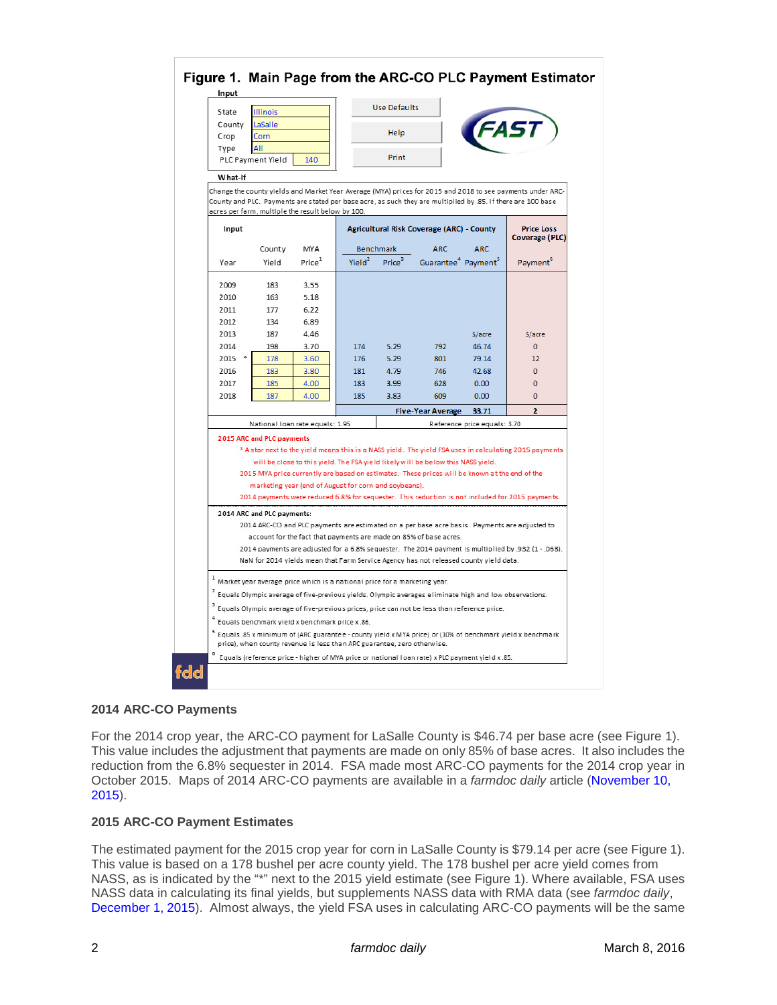| State<br><b>Illinois</b>                                   |                                                                               |                    | <b>Use Defaults</b>                       |                    |                                                                                                           |                              |                                                                                                                        |
|------------------------------------------------------------|-------------------------------------------------------------------------------|--------------------|-------------------------------------------|--------------------|-----------------------------------------------------------------------------------------------------------|------------------------------|------------------------------------------------------------------------------------------------------------------------|
| County                                                     | LaSalle                                                                       |                    |                                           |                    |                                                                                                           |                              |                                                                                                                        |
| Crop                                                       | Corn                                                                          |                    |                                           | Help               |                                                                                                           |                              |                                                                                                                        |
| Type                                                       | AII                                                                           |                    |                                           |                    |                                                                                                           |                              |                                                                                                                        |
|                                                            | PLC Payment Yield                                                             | 140                |                                           | Print              |                                                                                                           |                              |                                                                                                                        |
| What-If                                                    |                                                                               |                    |                                           |                    |                                                                                                           |                              |                                                                                                                        |
|                                                            |                                                                               |                    |                                           |                    |                                                                                                           |                              | Change the county yields and Market Year Average (MYA) prices for 2015 and 2018 to see payments under ARC-             |
|                                                            |                                                                               |                    |                                           |                    |                                                                                                           |                              | County and PLC. Payments are stated per base acre, as such they are multiplied by .85. If there are 100 base           |
| acres per farm, multiple the result below by 100.<br>Input |                                                                               |                    | Agricultural Risk Coverage (ARC) - County |                    |                                                                                                           |                              | <b>Price Loss</b><br><b>Coverage (PLC)</b>                                                                             |
|                                                            | County                                                                        | MYA                |                                           | <b>Benchmark</b>   | ARC.                                                                                                      | <b>ARC</b>                   |                                                                                                                        |
| Year                                                       | Yield                                                                         | Price <sup>1</sup> | Yield <sup>2</sup>                        | Price <sup>3</sup> | Guarantee <sup>4</sup> Payment <sup>5</sup>                                                               |                              | Payment                                                                                                                |
|                                                            |                                                                               |                    |                                           |                    |                                                                                                           |                              |                                                                                                                        |
| 2009                                                       | 183                                                                           | 3.55               |                                           |                    |                                                                                                           |                              |                                                                                                                        |
| 2010                                                       | 163                                                                           | 5.18               |                                           |                    |                                                                                                           |                              |                                                                                                                        |
| 2011                                                       | 177                                                                           | 6.22               |                                           |                    |                                                                                                           |                              |                                                                                                                        |
| 2012                                                       | 134                                                                           | 6.89               |                                           |                    |                                                                                                           |                              |                                                                                                                        |
| 2013                                                       | 187                                                                           | 4.46               |                                           |                    |                                                                                                           | \$/acre                      | \$/acre                                                                                                                |
| 2014                                                       | 198                                                                           | 3.70               | 174                                       | 5.29               | 792                                                                                                       | 46.74                        | $\mathbf{0}$                                                                                                           |
| $2015$ *                                                   | 178                                                                           | 3.60               | 176                                       | 5.29               | 801                                                                                                       | 79.14                        | 12                                                                                                                     |
| 2016                                                       | 183                                                                           | 3.80               | 181                                       | 4.79               | 746                                                                                                       | 42.68                        | $\mathbf{0}$                                                                                                           |
| 2017                                                       | 185                                                                           | 4.00               | 183                                       | 3.99               | 628                                                                                                       | 0.00                         | $\Omega$                                                                                                               |
| 2018                                                       | 187                                                                           | 4.00               | 185                                       | 3.83               | 609                                                                                                       | 0.00                         | $\Omega$                                                                                                               |
|                                                            |                                                                               |                    |                                           |                    | <b>Five-Year Average</b>                                                                                  | 33.71                        | $\overline{2}$                                                                                                         |
|                                                            | National Ioan rate equals: 1.95                                               |                    |                                           |                    |                                                                                                           | Reference price equals: 3.70 |                                                                                                                        |
|                                                            | 2015 ARC and PLC payments                                                     |                    |                                           |                    |                                                                                                           |                              |                                                                                                                        |
|                                                            |                                                                               |                    |                                           |                    |                                                                                                           |                              | * A star next to the yield means this is a NASS yield. The yield FSA uses in calculating 2015 payments                 |
|                                                            |                                                                               |                    |                                           |                    | will be close to this yield. The FSA yield likely will be below this NASS yield.                          |                              |                                                                                                                        |
|                                                            |                                                                               |                    |                                           |                    | 2015 MYA price currently are based on estimates. These prices will be known at the end of the             |                              |                                                                                                                        |
|                                                            | marketing year (end of August for corn and soybeans).                         |                    |                                           |                    |                                                                                                           |                              |                                                                                                                        |
|                                                            |                                                                               |                    |                                           |                    |                                                                                                           |                              | 2014 payments were reduced 6.8% for sequester. This reduction is not included for 2015 payments.                       |
|                                                            | 2014 ARC and PLC payments:                                                    |                    |                                           |                    |                                                                                                           |                              |                                                                                                                        |
|                                                            |                                                                               |                    |                                           |                    |                                                                                                           |                              | 2014 ARC-CO and PLC payments are estimated on a per base acre basis. Payments are adjusted to                          |
|                                                            |                                                                               |                    |                                           |                    | account for the fact that payments are made on 85% of base acres.                                         |                              |                                                                                                                        |
|                                                            |                                                                               |                    |                                           |                    |                                                                                                           |                              | 2014 payments are adjusted for a 6.8% sequester. The 2014 payment is multiplied by .932 (1 - .068).                    |
|                                                            |                                                                               |                    |                                           |                    | NaN for 2014 yields mean that Farm Service Agency has not released county yield data.                     |                              |                                                                                                                        |
|                                                            | $1$ Market year average price which is a national price for a marketing year. |                    |                                           |                    |                                                                                                           |                              |                                                                                                                        |
|                                                            |                                                                               |                    |                                           |                    | $2$ Equals Olympic average of five-previous yields. Olympic averages eliminate high and low observations. |                              |                                                                                                                        |
|                                                            |                                                                               |                    |                                           |                    | <sup>3</sup> Equals Olympic average of five-previous prices, price can not be less than reference price.  |                              |                                                                                                                        |
|                                                            | <sup>4</sup> Equals benchmark yield x benchmark price x .86.                  |                    |                                           |                    |                                                                                                           |                              |                                                                                                                        |
|                                                            |                                                                               |                    |                                           |                    |                                                                                                           |                              | <sup>5</sup> Equals .85 x minimum of (ARC guarantee - county yield x MYA price) or (10% of benchmark yield x benchmark |
|                                                            |                                                                               |                    |                                           |                    |                                                                                                           |                              |                                                                                                                        |
|                                                            | price), when county revenue is less than ARC guarantee, zero otherwise.       |                    |                                           |                    |                                                                                                           |                              |                                                                                                                        |

# **2014 ARC-CO Payments**

For the 2014 crop year, the ARC-CO payment for LaSalle County is \$46.74 per base acre (see Figure 1). This value includes the adjustment that payments are made on only 85% of base acres. It also includes the reduction from the 6.8% sequester in 2014. FSA made most ARC-CO payments for the 2014 crop year in October 2015. Maps of 2014 ARC-CO payments are available in a *farmdoc daily* article [\(November 10,](http://farmdocdaily.illinois.edu/2015/11/2014-arc-co-payments-release-county-yields.html)  [2015\)](http://farmdocdaily.illinois.edu/2015/11/2014-arc-co-payments-release-county-yields.html).

## **2015 ARC-CO Payment Estimates**

The estimated payment for the 2015 crop year for corn in LaSalle County is \$79.14 per acre (see Figure 1). This value is based on a 178 bushel per acre county yield. The 178 bushel per acre yield comes from NASS, as is indicated by the "\*" next to the 2015 yield estimate (see Figure 1). Where available, FSA uses NASS data in calculating its final yields, but supplements NASS data with RMA data (see *farmdoc daily*, [December 1, 2015\)](http://farmdocdaily.illinois.edu/2015/12/fsa-yields-used-in-computing-arc-co-payments.html). Almost always, the yield FSA uses in calculating ARC-CO payments will be the same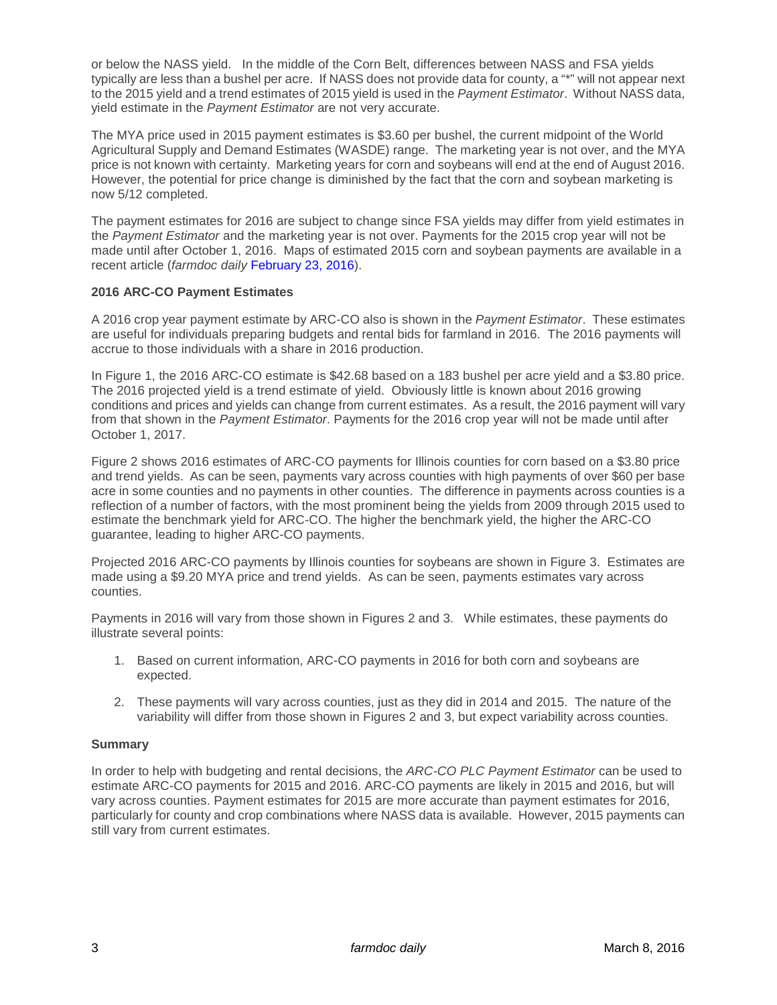or below the NASS yield. In the middle of the Corn Belt, differences between NASS and FSA yields typically are less than a bushel per acre. If NASS does not provide data for county, a "\*" will not appear next to the 2015 yield and a trend estimates of 2015 yield is used in the *Payment Estimator*. Without NASS data, yield estimate in the *Payment Estimator* are not very accurate.

The MYA price used in 2015 payment estimates is \$3.60 per bushel, the current midpoint of the World Agricultural Supply and Demand Estimates (WASDE) range. The marketing year is not over, and the MYA price is not known with certainty. Marketing years for corn and soybeans will end at the end of August 2016. However, the potential for price change is diminished by the fact that the corn and soybean marketing is now 5/12 completed.

The payment estimates for 2016 are subject to change since FSA yields may differ from yield estimates in the *Payment Estimator* and the marketing year is not over. Payments for the 2015 crop year will not be made until after October 1, 2016. Maps of estimated 2015 corn and soybean payments are available in a recent article (*farmdoc daily* [February 23, 2016\)](http://farmdocdaily.illinois.edu/2016/02/2015-arc-co-payment-estimates-corn-soybeans.html).

# **2016 ARC-CO Payment Estimates**

A 2016 crop year payment estimate by ARC-CO also is shown in the *Payment Estimator*. These estimates are useful for individuals preparing budgets and rental bids for farmland in 2016. The 2016 payments will accrue to those individuals with a share in 2016 production.

In Figure 1, the 2016 ARC-CO estimate is \$42.68 based on a 183 bushel per acre yield and a \$3.80 price. The 2016 projected yield is a trend estimate of yield. Obviously little is known about 2016 growing conditions and prices and yields can change from current estimates. As a result, the 2016 payment will vary from that shown in the *Payment Estimator*. Payments for the 2016 crop year will not be made until after October 1, 2017.

Figure 2 shows 2016 estimates of ARC-CO payments for Illinois counties for corn based on a \$3.80 price and trend yields. As can be seen, payments vary across counties with high payments of over \$60 per base acre in some counties and no payments in other counties. The difference in payments across counties is a reflection of a number of factors, with the most prominent being the yields from 2009 through 2015 used to estimate the benchmark yield for ARC-CO. The higher the benchmark yield, the higher the ARC-CO guarantee, leading to higher ARC-CO payments.

Projected 2016 ARC-CO payments by Illinois counties for soybeans are shown in Figure 3. Estimates are made using a \$9.20 MYA price and trend yields. As can be seen, payments estimates vary across counties.

Payments in 2016 will vary from those shown in Figures 2 and 3. While estimates, these payments do illustrate several points:

- 1. Based on current information, ARC-CO payments in 2016 for both corn and soybeans are expected.
- 2. These payments will vary across counties, just as they did in 2014 and 2015. The nature of the variability will differ from those shown in Figures 2 and 3, but expect variability across counties.

## **Summary**

In order to help with budgeting and rental decisions, the *ARC-CO PLC Payment Estimator* can be used to estimate ARC-CO payments for 2015 and 2016. ARC-CO payments are likely in 2015 and 2016, but will vary across counties. Payment estimates for 2015 are more accurate than payment estimates for 2016, particularly for county and crop combinations where NASS data is available. However, 2015 payments can still vary from current estimates.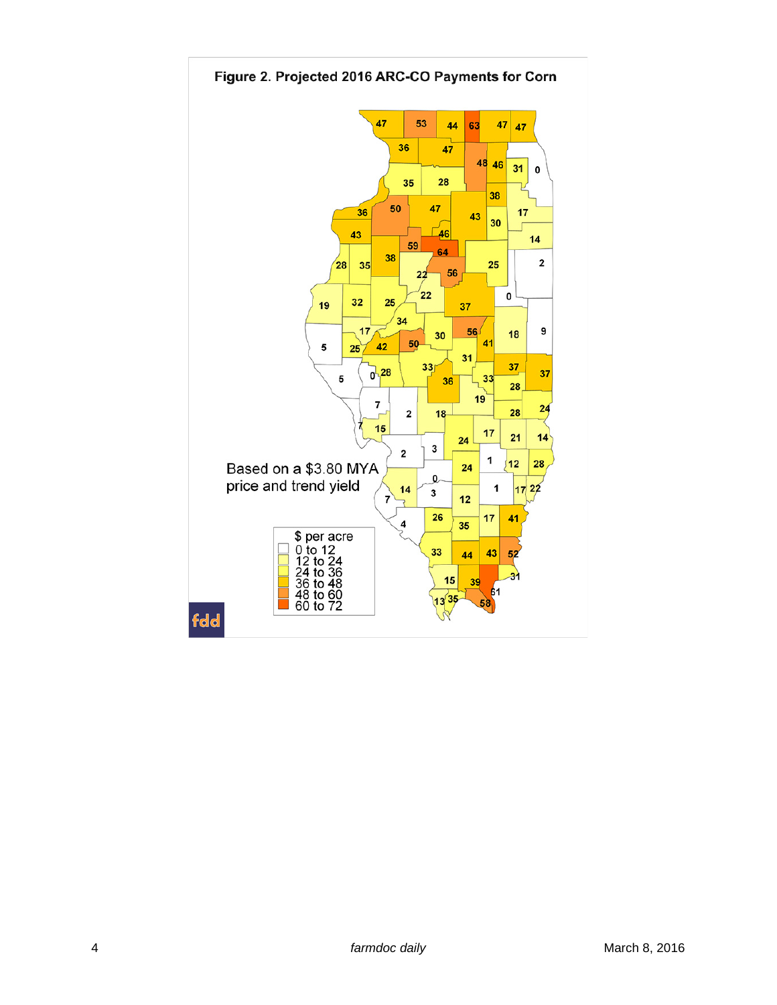